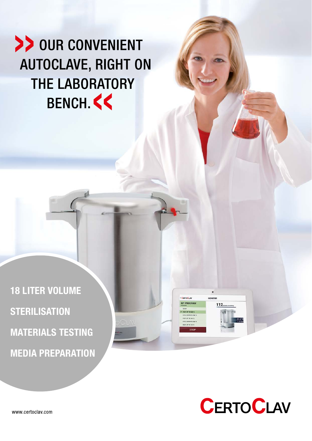# >> OUR CONVENIENT **AUTOCLAVE, RIGHT ON THE LABORATORY** BENCH <<

18 LITER VOLUME **STERILISATION** MATERIALS TESTING MEDIA PREPARATION



CarroCu

MY PROGRAM

**MONITO** 

112

www.certoclav.com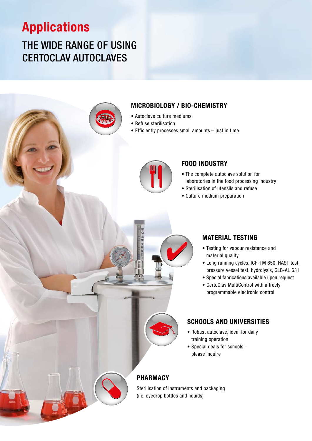# Applications

# THE WIDE RANGE OF USING CERTOCLAV AUTOCLAVES



### MICROBIOLOGY / BIO-CHEMISTRY

- Autoclave culture mediums
- Refuse sterilisation
- Efficiently processes small amounts just in time



### FOOD INDUSTRY

- The complete autoclave solution for laboratories in the food processing industry
- Sterilisation of utensils and refuse
- Culture medium preparation



- Testing for vapour resistance and material quality
- Long running cycles, ICP-TM 650, HAST test, pressure vessel test, hydrolysis, GLB-AL 631
- Special fabrications available upon request
- CertoClav MultiControl with a freely programmable electronic control

### SCHOOLS AND UNIVERSITIES

- Robust autoclave, ideal for daily training operation
- Special deals for schools please inquire

### PHARMACY

Sterilisation of instruments and packaging (i.e. eyedrop bottles and liquids)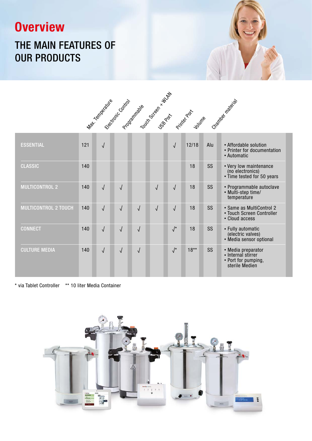# **Overview**

## THE MAIN FEATURES OF OUR PRODUCTS



| <b>ESSENTIAL</b>            | 121 | $\sqrt{ }$ |            |            |            | $\sqrt{ }$           | 12/18  | Alu       | • Affordable solution<br>• Printer for documentation<br>• Automatic               |
|-----------------------------|-----|------------|------------|------------|------------|----------------------|--------|-----------|-----------------------------------------------------------------------------------|
| <b>CLASSIC</b>              | 140 |            |            |            |            |                      | 18     | SS        | • Very low maintenance<br>(no electronics)<br>• Time tested for 50 years          |
| <b>MULTICONTROL 2</b>       | 140 | $\sqrt{ }$ | $\sqrt{2}$ |            | $\sqrt{2}$ | $\sqrt{2}$           | 18     | SS        | • Programmable autoclave<br>• Multi-step time/<br>temperature                     |
| <b>MULTICONTROL 2 TOUCH</b> | 140 | $\sqrt{ }$ | $\sqrt{2}$ | $\sqrt{2}$ | $\sqrt{2}$ | $\sqrt{ }$           | 18     | <b>SS</b> | • Same as MultiControl 2<br>• Touch Screen Controller<br>• Cloud access           |
| <b>CONNECT</b>              | 140 | $\sqrt{ }$ | $\sqrt{2}$ | $\sqrt{ }$ |            | $\sqrt{\frac{1}{2}}$ | 18     | SS        | • Fully automatic<br>(electric valves)<br>• Media sensor optional                 |
| <b>CULTURE MEDIA</b>        | 140 | $\sqrt{2}$ | $\sqrt{}$  | $\sqrt{ }$ |            | $\sqrt{\frac{1}{2}}$ | $18**$ | SS        | • Media preparator<br>• Internal stirrer<br>• Port for pumping,<br>sterile Medien |

\* via Tablet Controller \*\* 10 liter Media Container

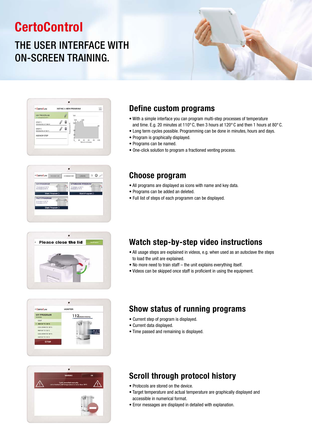# **CertoControl**

# THE USER INTERFACE WITH ON-SCREEN TRAINING.













### Define custom programs

- With a simple interface you can program multi-step processes of temperature and time. E.g. 20 minutes at 110°C, then 3 hours at 120°C and then 1 hours at 80°C.
- Long term cycles possible. Programming can be done in minutes, hours and days.
- Program is graphically displayed.
- Programs can be named.
- One-click solution to program a fractioned venting process.

### Choose program

- All programs are displayed as icons with name and key data.
- Programs can be added an deleted.
- Full list of steps of each programm can be displayed.

## Watch step-by-step video instructions

- All usage steps are explained in videos, e.g. when used as an autoclave the steps to load the unit are explained.
- No more need to train staff the unit explains everything itself.
- Videos can be skipped once staff is proficient in using the equipment.

## Show status of running programs

- Current step of program is displayed.
- Current data displayed.
- Time passed and remaining is displayed.

## Scroll through protocol history

- Protocols are stored on the device.
- Target temperature and actual temperature are graphically displayed and accessible in numerical format.
- Error messages are displayed in detailed with explanation.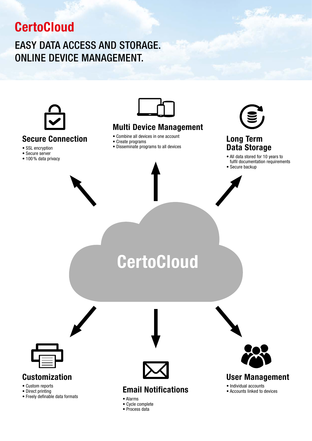# **CertoCloud**

## EASY DATA ACCESS AND STORAGE. ONLINE DEVICE MANAGEMENT.



### Secure Connection

- SSL encryption
- Secure server
- 100% data privacy



### Multi Device Management

- Combine all devices in one account
- Create programs
- Disseminate programs to all devices



## Long Term Data Storage

- All data stored for 10 years to fulfil documentation requirements
- Secure backup

# **CertoCloud**



## Customization

- Custom reports
- Direct printing
- Freely definable data formats



## Email Notifications

• Alarms • Cycle complete • Process data



User Management

• Individual accounts

• Accounts linked to devices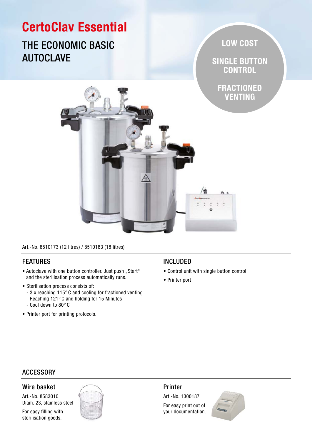# CertoClav Essential

## THE ECONOMIC BASIC AUTOCLAVE

LOW COST

SINGLE BUTTON **CONTROL** 

FRACTIONED VENTING



Art.-No. 8510173 (12 litres) / 8510183 (18 litres)

### FEATURES

- Autoclave with one button controller. Just push "Start" and the sterilisation process automatically runs.
- Sterilisation process consists of:
	- 3 x reaching 115° C and cooling for fractioned venting
	- Reaching 121° C and holding for 15 Minutes
	- Cool down to 80° C
- Printer port for printing protocols.

### INCLUDED

- Control unit with single button control
- Printer port

### **ACCESSORY**

### Wire basket

Art.-No. 8583010 Diam. 23, stainless steel

For easy filling with sterilisation goods.



### Printer

Art.-No. 1300187 For easy print out of

your documentation.

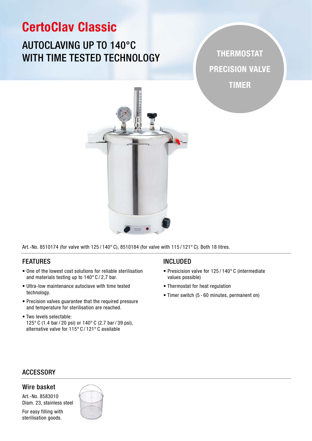# CertoClav Classic

## AUTOCLAVING UP TO 140°C WITH TIME TESTED TECHNOLOGY

THERMOSTAT PRECISION VALVE TIMER



Art.-No. 8510174 (for valve with 125 / 140° C), 8510184 (for valve with 115 / 121° C). Both 18 litres.

### FEATURES

- One of the lowest cost solutions for reliable sterilisation and materials testing up to 140° C / 2,7 bar.
- Ultra-low maintenance autoclave with time tested technology.
- Precision valves guarantee that the required pressure and temperature for sterilisation are reached.
- Two levels selectable: 125° C (1.4 bar / 20 psi) or 140° C (2.7 bar / 39 psi), alternative valve for 115° C / 121° C available

#### INCLUDED

- Presicision valve for 125 / 140° C (intermediate values possible)
- Thermostat for heat regulation
- Timer switch (5 60 minutes, permanent on)

### **ACCESSORY**

#### Wire basket

Art.-No. 8583010 Diam. 23, stainless steel

For easy filling with sterilisation goods.

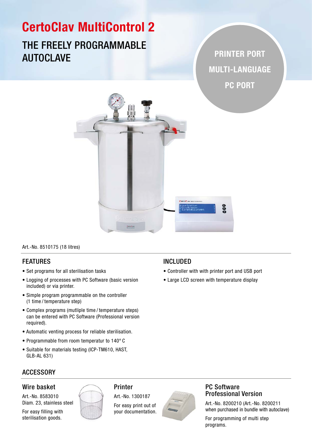# CertoClav MultiControl 2

## THE FREELY PROGRAMMABLE AUTOCLAVE **AUTOCLAVE**

MULTI-LANGUAGE PC PORT



Art.-No. 8510175 (18 litres)

### FEATURES

- Set programs for all sterilisation tasks
- Logging of processes with PC Software (basic version included) or via printer.
- Simple program programmable on the controller (1 time / temperature step)
- Complex programs (mutliple time / temperature steps) can be entered with PC Software (Professional version required).
- Automatic venting process for reliable sterilisation.
- Programmable from room temperatur to 140° C
- Suitable for materials testing (ICP-TM610, HAST, GLB-AL 631)

### INCLUDED

- Controller with with printer port and USB port
- Large LCD screen with temperature display

## **ACCESSORY**

### Wire basket

Art.-No. 8583010 Diam. 23, stainless steel

For easy filling with sterilisation goods.



### Printer

Art.-No. 1300187 For easy print out of

your documentation.



### PC Software Professional Version

Art.-No. 8200210 (Art.-No. 8200211 when purchased in bundle with autoclave)

For programming of multi step programs.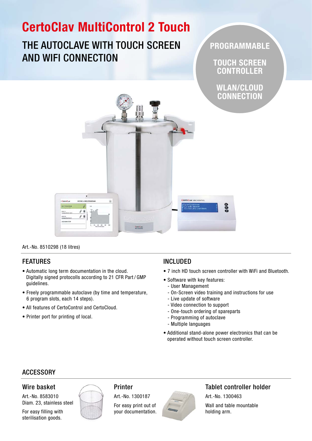# CertoClav MultiControl 2 Touch

## THE AUTOCLAVE WITH TOUCH SCREEN AND WIFI CONNECTION

PROGRAMMABLE

TOUCH SCREEN **CONTROLLER** 

WLAN/CLOUD **CONNECTION** 



Art.-No. 8510298 (18 litres)

### FEATURES

- Automatic long term documentation in the cloud. Digitally signed protocolls according to 21 CFR Part / GMP guidelines.
- Freely programmable autoclave (by time and temperature, 6 program slots, each 14 steps).
- All features of CertoControl and CertoCloud.
- Printer port for printing of local.

### INCLUDED

- 7 inch HD touch screen controller with WiFi and Bluetooth.
- Software with key features:
	- User Management
	- On-Screen video training and instructions for use
	- Live update of software
	- Video connection to support
	- One-touch ordering of spareparts
	- Programming of autoclave
	- Multiple languages
- Additional stand-alone power electronics that can be operated without touch screen controller.

### **ACCESSORY**

Wire basket

Art.-No. 8583010 Diam. 23, stainless steel

For easy filling with sterilisation goods.



### Printer

Art.-No. 1300187

For easy print out of your documentation.



### Tablet controller holder

Art.-No. 1300463 Wall and table mountable holding arm.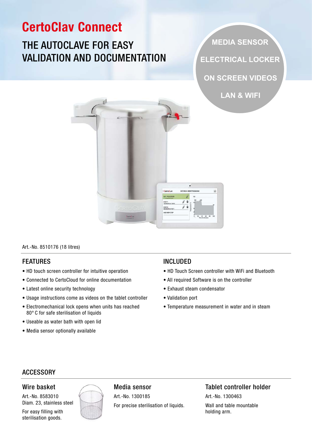# CertoClav Connect **MEDIA SENSOR** THE AUTOCLAVE FOR EASY VALIDATION AND DOCUMENTATION **ELECTRICAL LOCKER ON SCREEN VIDEOS LAN & WIFI**ď  $\bullet$  $J \hat{=}$  $j$  i STEP 2<br>60 MM/TI ADD NEW STE

#### Art.-No. 8510176 (18 litres)

### FEATURES

- HD touch screen controller for intuitive operation
- Connected to CertoCloud for online documentation
- Latest online security technology
- Usage instructions come as videos on the tablet controller
- Electromechanical lock opens when units has reached 80° C for safe sterilisation of liquids
- Useable as water bath with open lid
- Media sensor optionally available

### INCLUDED

- HD Touch Screen controller with WiFi and Bluetooth
- All required Software is on the controller
- Exhaust steam condensator
- Validation port
- Temperature measurement in water and in steam

### ACCESSORY

### Wire basket

Art.-No. 8583010 Diam. 23, stainless steel

For easy filling with sterilisation goods.



### Media sensor

Art.-No. 1300185 For precise sterilisation of liquids.

Tablet controller holder Art.-No. 1300463 Wall and table mountable holding arm.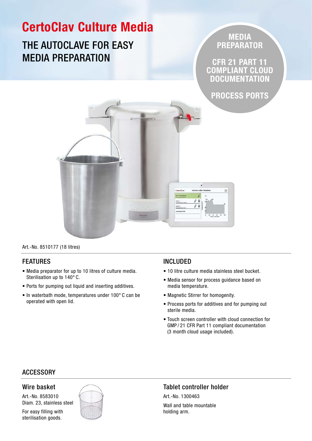

Art.-No. 8510177 (18 litres)

### FEATURES

- Media preparator for up to 10 litres of culture media. Sterilisation up to 140° C.
- Ports for pumping out liquid and inserting additives.
- In waterbath mode, temperatures under 100° C can be operated with open lid.

### INCLUDED

- 10 litre culture media stainless steel bucket.
- Media sensor for process guidance based on media temperature.
- Magnetic Stirrer for homogenity.
- Process ports for additives and for pumping out sterile media.
- Touch screen controller with cloud connection for GMP / 21 CFR Part 11 compliant documentation (3 month cloud usage included).

### **ACCESSORY**

#### Wire basket

Art.-No. 8583010 Diam. 23, stainless steel

For easy filling with sterilisation goods.



### Tablet controller holder

Art.-No. 1300463 Wall and table mountable holding arm.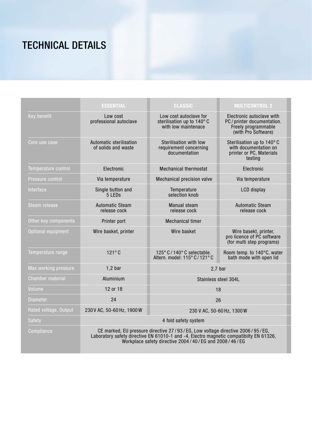# TECHNICAL DETAILS

|                         | <b>ESSENTIAL</b>                                                                                                                                                                                                               | <b>CLASSIC</b>                                                             | <b>MULTICONTROL 2</b>                                                                                |  |  |  |
|-------------------------|--------------------------------------------------------------------------------------------------------------------------------------------------------------------------------------------------------------------------------|----------------------------------------------------------------------------|------------------------------------------------------------------------------------------------------|--|--|--|
| Key benefit             | Low cost<br>professional autoclave                                                                                                                                                                                             | Low cost autoclave for<br>sterilisation up to 140°C<br>with low maintenace | Electronic autoclave with<br>PC/printer documentation.<br>Freely programmable<br>(with Pro Software) |  |  |  |
| Core use case           | Automatic sterilisation<br>of solids and waste                                                                                                                                                                                 | Sterilisation with low<br>requirement concerning<br>documentation          | Sterilisation up to 140°C<br>with documentation on<br>printer or PC, Materials<br>testing            |  |  |  |
| Temperature control     | Electronic                                                                                                                                                                                                                     | <b>Mechanical thermostat</b>                                               | Electronic                                                                                           |  |  |  |
| Pressure control        | Via temperature                                                                                                                                                                                                                | Mechanical precision valve                                                 | Via temperature                                                                                      |  |  |  |
| Interface               | Single button and<br>5 LED <sub>s</sub>                                                                                                                                                                                        | Temperature<br>selection knob                                              | LCD display                                                                                          |  |  |  |
| Steam release           | <b>Automatic Steam</b><br>release cock                                                                                                                                                                                         | <b>Manual steam</b><br>release cock                                        | <b>Automatic Steam</b><br>release cock                                                               |  |  |  |
| Other key components    | Printer port                                                                                                                                                                                                                   | <b>Mechanical timer</b>                                                    |                                                                                                      |  |  |  |
| Optional equipment      | Wire basket, printer                                                                                                                                                                                                           | Wire basket                                                                | Wire basekt, printer,<br>pro licence of PC software<br>(for multi step programs)                     |  |  |  |
| Temperature range       | $121^\circ C$                                                                                                                                                                                                                  | 125° C/140° C selectable.<br>Altern. model: 115° C/121° C                  | Room temp. to 140°C, water<br>bath mode with open lid                                                |  |  |  |
| Max working pressure    | $1,2$ bar                                                                                                                                                                                                                      |                                                                            | 2.7 <sub>b</sub>                                                                                     |  |  |  |
| <b>Chamber material</b> | Aluminium                                                                                                                                                                                                                      | Stainless steel 304L                                                       |                                                                                                      |  |  |  |
| Volume                  | 12 or 18                                                                                                                                                                                                                       | 18                                                                         |                                                                                                      |  |  |  |
| <b>Diameter</b>         | 24                                                                                                                                                                                                                             | 26                                                                         |                                                                                                      |  |  |  |
| Rated voltage, Output   | 230 V AC, 50-60 Hz, 1900 W                                                                                                                                                                                                     | 230 V AC, 50-60 Hz, 1300 W                                                 |                                                                                                      |  |  |  |
| <b>Safety</b>           | 4 fold safety system                                                                                                                                                                                                           |                                                                            |                                                                                                      |  |  |  |
| Compliance              | CE marked, EU pressure directive 27/93/EG, Low voltage directive 2006/95/EG,<br>Laboratory safety directive EN 61010-1 and -4, Electro magnetic compatibilty EN 61326,<br>Workplace safety directive 2004/40/EG and 2008/46/EG |                                                                            |                                                                                                      |  |  |  |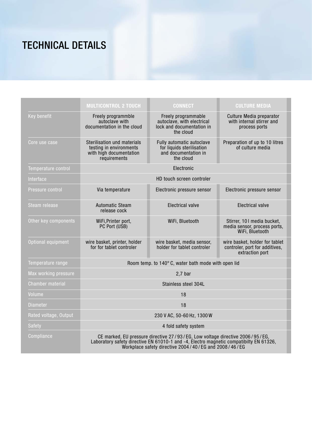# TECHNICAL DETAILS

|                         | <b>MULTICONTROL 2 TOUCH</b>                                                                                                                                                                                                    | <b>CONNECT</b>                                                                              | <b>CULTURE MEDIA</b>                                                                |  |  |  |  |
|-------------------------|--------------------------------------------------------------------------------------------------------------------------------------------------------------------------------------------------------------------------------|---------------------------------------------------------------------------------------------|-------------------------------------------------------------------------------------|--|--|--|--|
| Key benefit             | Freely programmble<br>autoclave with<br>documentation in the cloud                                                                                                                                                             | Freely programmable<br>autoclave, with electrical<br>lock and documentation in<br>the cloud | Culture Media preparator<br>with internal stirrer and<br>process ports              |  |  |  |  |
| Core use case           | Sterilisation und materials<br>testing in environments<br>with high documentation<br>requirements                                                                                                                              | Fully automatic autoclave<br>for liquids sterilisation<br>and documentation in<br>the cloud | Preparation of up to 10 litres<br>of culture media                                  |  |  |  |  |
| Temperature control     | Electronic                                                                                                                                                                                                                     |                                                                                             |                                                                                     |  |  |  |  |
| Interface               | HD touch screen controler                                                                                                                                                                                                      |                                                                                             |                                                                                     |  |  |  |  |
| Pressure control        | Via temperature                                                                                                                                                                                                                | Electronic pressure sensor                                                                  | Electronic pressure sensor                                                          |  |  |  |  |
| Steam release           | <b>Automatic Steam</b><br>release cock                                                                                                                                                                                         | <b>Electrical valve</b>                                                                     | <b>Electrical valve</b>                                                             |  |  |  |  |
| Other key components    | WiFi, Printer port,<br>PC Port (USB)                                                                                                                                                                                           | WiFi, Bluetooth                                                                             | Stirrer, 101 media bucket,<br>media sensor, process ports,<br>WiFi, Bluetooth       |  |  |  |  |
| Optional equipment      | wire basket, printer, holder<br>for for tablet controler                                                                                                                                                                       | wire basket, media sensor,<br>holder for tablet controler                                   | wire basket, holder for tablet<br>controler, port for additives,<br>extraction port |  |  |  |  |
| Temperature range       | Room temp. to 140°C, water bath mode with open lid                                                                                                                                                                             |                                                                                             |                                                                                     |  |  |  |  |
| Max working pressure    | $2,7$ bar                                                                                                                                                                                                                      |                                                                                             |                                                                                     |  |  |  |  |
| <b>Chamber material</b> | Stainless steel 304L                                                                                                                                                                                                           |                                                                                             |                                                                                     |  |  |  |  |
| Volume                  | 18                                                                                                                                                                                                                             |                                                                                             |                                                                                     |  |  |  |  |
| <b>Diameter</b>         | 18                                                                                                                                                                                                                             |                                                                                             |                                                                                     |  |  |  |  |
| Rated voltage, Output   | 230 V AC, 50-60 Hz, 1300 W                                                                                                                                                                                                     |                                                                                             |                                                                                     |  |  |  |  |
| Safety                  | 4 fold safety system                                                                                                                                                                                                           |                                                                                             |                                                                                     |  |  |  |  |
| Compliance              | CE marked, EU pressure directive 27/93/EG, Low voltage directive 2006/95/EG,<br>Laboratory safety directive EN 61010-1 and -4, Electro magnetic compatibilty EN 61326,<br>Workplace safety directive 2004/40/EG and 2008/46/EG |                                                                                             |                                                                                     |  |  |  |  |